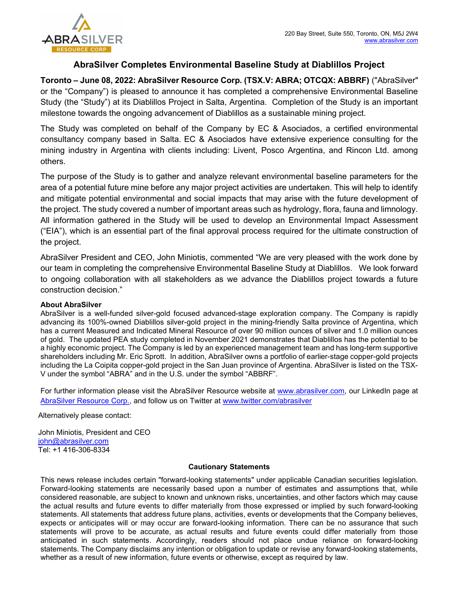

## AbraSilver Completes Environmental Baseline Study at Diablillos Project

Toronto – June 08, 2022: AbraSilver Resource Corp. (TSX.V: ABRA; OTCQX: ABBRF) ("AbraSilver" or the "Company") is pleased to announce it has completed a comprehensive Environmental Baseline Study (the "Study") at its Diablillos Project in Salta, Argentina. Completion of the Study is an important milestone towards the ongoing advancement of Diablillos as a sustainable mining project.

The Study was completed on behalf of the Company by EC & Asociados, a certified environmental consultancy company based in Salta. EC & Asociados have extensive experience consulting for the mining industry in Argentina with clients including: Livent, Posco Argentina, and Rincon Ltd. among others.

The purpose of the Study is to gather and analyze relevant environmental baseline parameters for the area of a potential future mine before any major project activities are undertaken. This will help to identify and mitigate potential environmental and social impacts that may arise with the future development of the project. The study covered a number of important areas such as hydrology, flora, fauna and limnology. All information gathered in the Study will be used to develop an Environmental Impact Assessment ("EIA"), which is an essential part of the final approval process required for the ultimate construction of the project.

AbraSilver President and CEO, John Miniotis, commented "We are very pleased with the work done by our team in completing the comprehensive Environmental Baseline Study at Diablillos. We look forward to ongoing collaboration with all stakeholders as we advance the Diablillos project towards a future construction decision."

## About AbraSilver

AbraSilver is a well-funded silver-gold focused advanced-stage exploration company. The Company is rapidly advancing its 100%-owned Diablillos silver-gold project in the mining-friendly Salta province of Argentina, which has a current Measured and Indicated Mineral Resource of over 90 million ounces of silver and 1.0 million ounces of gold. The updated PEA study completed in November 2021 demonstrates that Diablillos has the potential to be a highly economic project. The Company is led by an experienced management team and has long-term supportive shareholders including Mr. Eric Sprott. In addition, AbraSilver owns a portfolio of earlier-stage copper-gold projects including the La Coipita copper-gold project in the San Juan province of Argentina. AbraSilver is listed on the TSX-V under the symbol "ABRA" and in the U.S. under the symbol "ABBRF".

For further information please visit the AbraSilver Resource website at www.abrasilver.com, our LinkedIn page at AbraSilver Resource Corp., and follow us on Twitter at www.twitter.com/abrasilver

Alternatively please contact:

John Miniotis, President and CEO john@abrasilver.com Tel: +1 416-306-8334

## Cautionary Statements

This news release includes certain "forward-looking statements" under applicable Canadian securities legislation. Forward-looking statements are necessarily based upon a number of estimates and assumptions that, while considered reasonable, are subject to known and unknown risks, uncertainties, and other factors which may cause the actual results and future events to differ materially from those expressed or implied by such forward-looking statements. All statements that address future plans, activities, events or developments that the Company believes, expects or anticipates will or may occur are forward-looking information. There can be no assurance that such statements will prove to be accurate, as actual results and future events could differ materially from those anticipated in such statements. Accordingly, readers should not place undue reliance on forward-looking statements. The Company disclaims any intention or obligation to update or revise any forward-looking statements, whether as a result of new information, future events or otherwise, except as required by law.